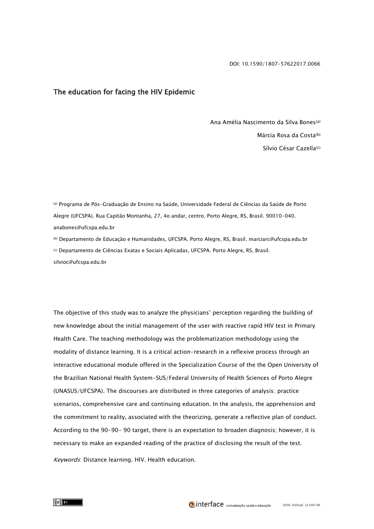## The education for facing the HIV Epidemic

Ana Amélia Nascimento da Silva Bones(a) Márcia Rosa da Costa(b) Sílvio César Cazella<sup>(c)</sup>

(a) Programa de Pós-Graduação de Ensino na Saúde, Universidade Federal de Ciências da Saúde de Porto Alegre (UFCSPA). Rua Capitão Montanha, 27, 4o andar, centro. Porto Alegre, RS, Brasil. 90010-040. anabones@ufcspa.edu.br

(b) Departamento de Educação e Humanidades, UFCSPA. Porto Alegre, RS, Brasil. [marciarc@ufcspa.edu.br](mailto:marciarc@ufcspa.edu.br) (c) Departamento de Ciências Exatas e Sociais Aplicadas, UFCSPA. Porto Alegre, RS, Brasil. [silvioc@ufcspa.edu.br](mailto:silvioc@ufcspa.edu.br)

The objective of this study was to analyze the physicians' perception regarding the building of new knowledge about the initial management of the user with reactive rapid HIV test in Primary Health Care. The teaching methodology was the problematization methodology using the modality of distance learning. It is a critical action-research in a reflexive process through an interactive educational module offered in the Specialization Course of the the Open University of the Brazilian National Health System-SUS/Federal University of Health Sciences of Porto Alegre (UNASUS/UFCSPA). The discourses are distributed in three categories of analysis: practice scenarios, comprehensive care and continuing education. In the analysis, the apprehension and the commitment to reality, associated with the theorizing, generate a reflective plan of conduct. According to the 90-90- 90 target, there is an expectation to broaden diagnosis; however, it is necessary to make an expanded reading of the practice of disclosing the result of the test. Keywords: Distance learning. HIV. Health education.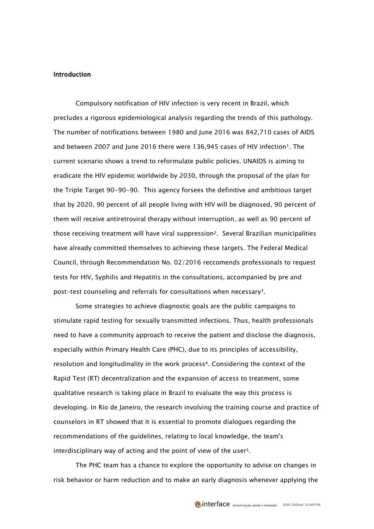## Introduction

Compulsory notification of HIV infection is very recent in Brazil, which precludes a rigorous epidemiological analysis regarding the trends of this pathology. The number of notifications between 1980 and June 2016 was 842,710 cases of AIDS and between 2007 and June 2016 there were 136,945 cases of HIV infection<sup>1</sup>. The current scenario shows a trend to reformulate public policies. UNAIDS is aiming to eradicate the HIV epidemic worldwide by 2030, through the proposal of the plan for the Triple Target 90-90-90. This agency forsees the definitive and ambitious target that by 2020, 90 percent of all people living with HIV will be diagnosed, 90 percent of them will receive antiretroviral therapy without interruption, as well as 90 percent of those receiving treatment will have viral suppression2. Several Brazilian municipalities have already committed themselves to achieving these targets. The Federal Medical Council, through Recommendation No. 02/2016 reccomends professionals to request tests for HIV, Syphilis and Hepatitis in the consultations, accompanied by pre and post-test counseling and referrals for consultations when necessary3.

Some strategies to achieve diagnostic goals are the public campaigns to stimulate rapid testing for sexually transmitted infections. Thus, health professionals need to have a community approach to receive the patient and disclose the diagnosis, especially within Primary Health Care (PHC), due to its principles of accessibility, resolution and longitudinality in the work process4. Considering the context of the Rapid Test (RT) decentralization and the expansion of access to treatment, some qualitative research is taking place in Brazil to evaluate the way this process is developing. In Rio de Janeiro, the research involving the training course and practice of counselors in RT showed that it is essential to promote dialogues regarding the recommendations of the guidelines, relating to local knowledge, the team's interdisciplinary way of acting and the point of view of the user[5](http://www.scielo.br/scielo.php?script=sci_arttext&pid=S1414-32832015000401145&lng=pt&nrm=iso&tlng=pt#B33).

The PHC team has a chance to explore the opportunity to advise on changes in risk behavior or harm reduction and to make an early diagnosis whenever applying the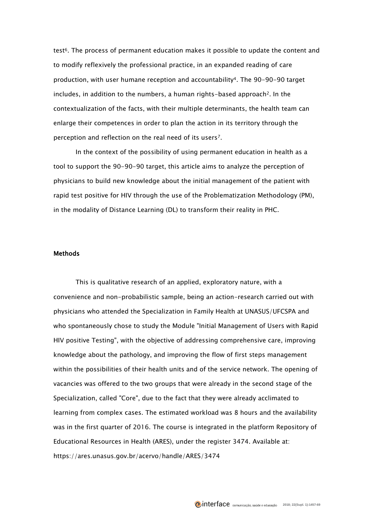test6. The process of permanent education makes it possible to update the content and to modify reflexively the professional practice, in an expanded reading of care production, with user humane reception and accountability4. The 90-90-90 target  $includes, in addition to the numbers, a human rights-based approach<sup>2</sup>. In the$ contextualization of the facts, with their multiple determinants, the health team can enlarge their competences in order to plan the action in its territory through the perception and reflection on the real need of its users7.

In the context of the possibility of using permanent education in health as a tool to support the 90-90-90 target, this article aims to analyze the perception of physicians to build new knowledge about the initial management of the patient with rapid test positive for HIV through the use of the Problematization Methodology (PM), in the modality of Distance Learning (DL) to transform their reality in PHC.

# **Methods**

This is qualitative research of an applied, exploratory nature, with a convenience and non-probabilistic sample, being an action-research carried out with physicians who attended the Specialization in Family Health at UNASUS/UFCSPA and who spontaneously chose to study the Module "Initial Management of Users with Rapid HIV positive Testing", with the objective of addressing comprehensive care, improving knowledge about the pathology, and improving the flow of first steps management within the possibilities of their health units and of the service network. The opening of vacancies was offered to the two groups that were already in the second stage of the Specialization, called "Core", due to the fact that they were already acclimated to learning from complex cases. The estimated workload was 8 hours and the availability was in the first quarter of 2016. The course is integrated in the platform Repository of Educational Resources in Health (ARES), under the register 3474. Available at: <https://ares.unasus.gov.br/acervo/handle/ARES/3474>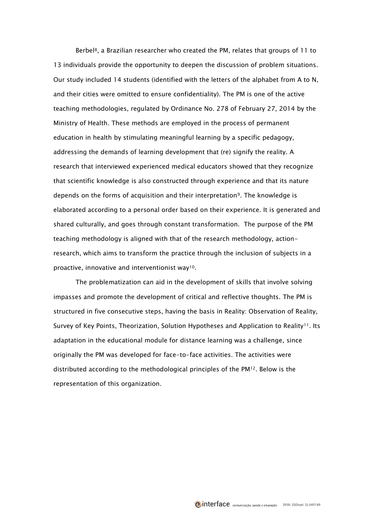Berbel<sup>8</sup>, a Brazilian researcher who created the PM, relates that groups of 11 to 13 individuals provide the opportunity to deepen the discussion of problem situations. Our study included 14 students (identified with the letters of the alphabet from A to N, and their cities were omitted to ensure confidentiality). The PM is one of the active teaching methodologies, regulated by Ordinance No. 278 of February 27, 2014 by the Ministry of Health. These methods are employed in the process of permanent education in health by stimulating meaningful learning by a specific pedagogy, addressing the demands of learning development that (re) signify the reality. A research that interviewed experienced medical educators showed that they recognize that scientific knowledge is also constructed through experience and that its nature depends on the forms of acquisition and their interpretation9. The knowledge is elaborated according to a personal order based on their experience. It is generated and shared culturally, and goes through constant transformation. The purpose of the PM teaching methodology is aligned with that of the research methodology, actionresearch, which aims to transform the practice through the inclusion of subjects in a proactive, innovative and interventionist way10.

The problematization can aid in the development of skills that involve solving impasses and promote the development of critical and reflective thoughts. The PM is structured in five consecutive steps, having the basis in Reality: Observation of Reality, Survey of Key Points, Theorization, Solution Hypotheses and Application to Reality<sup>11</sup>. Its adaptation in the educational module for distance learning was a challenge, since originally the PM was developed for face-to-face activities. The activities were distributed according to the methodological principles of the  $PM<sup>12</sup>$ . Below is the representation of this organization.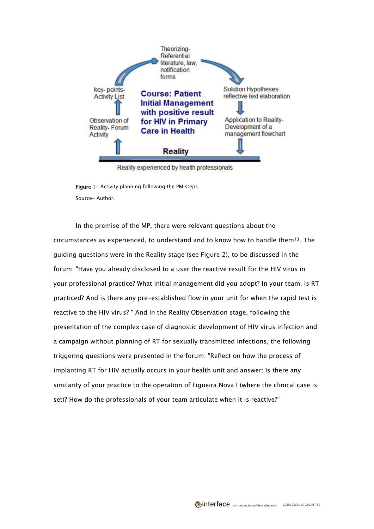

Reality experienced by health professionals

Figure 1- Activity planning following the PM steps. Source- Author.

In the premise of the MP, there were relevant questions about the circumstances as experienced, to understand and to know how to handle them $13$ . The guiding questions were in the Reality stage (see Figure 2), to be discussed in the forum: "Have you already disclosed to a user the reactive result for the HIV virus in your professional practice? What initial management did you adopt? In your team, is RT practiced? And is there any pre-established flow in your unit for when the rapid test is reactive to the HIV virus? " And in the Reality Observation stage, following the presentation of the complex case of diagnostic development of HIV virus infection and a campaign without planning of RT for sexually transmitted infections, the following triggering questions were presented in the forum: "Reflect on how the process of implanting RT for HIV actually occurs in your health unit and answer: Is there any similarity of your practice to the operation of Figueira Nova I (where the clinical case is set)? How do the professionals of your team articulate when it is reactive?"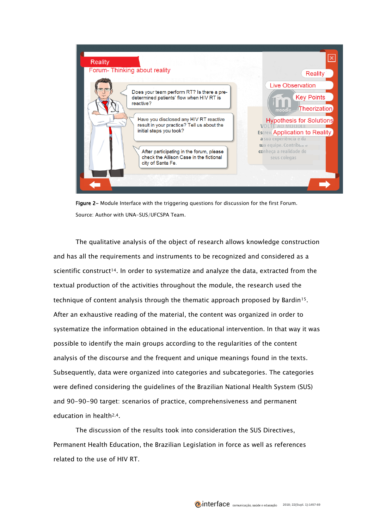

Figure 2- Module Interface with the triggering questions for discussion for the first Forum. Source: Author with UNA-SUS/UFCSPA Team.

The qualitative analysis of the object of research allows knowledge construction and has all the requirements and instruments to be recognized and considered as a scientific construct<sup>14</sup>. In order to systematize and analyze the data, extracted from the textual production of the activities throughout the module, the research used the technique of content analysis through the thematic approach proposed by Bardin15. After an exhaustive reading of the material, the content was organized in order to systematize the information obtained in the educational intervention. In that way it was possible to identify the main groups according to the regularities of the content analysis of the discourse and the frequent and unique meanings found in the texts. Subsequently, data were organized into categories and subcategories. The categories were defined considering the guidelines of the Brazilian National Health System (SUS) and 90-90-90 target: scenarios of practice, comprehensiveness and permanent education in health2,4.

The discussion of the results took into consideration the SUS Directives, Permanent Health Education, the Brazilian Legislation in force as well as references related to the use of HIV RT.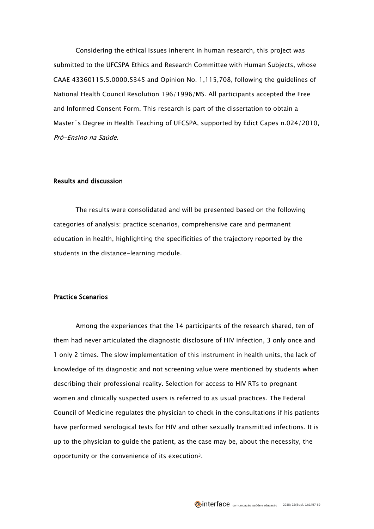Considering the ethical issues inherent in human research, this project was submitted to the UFCSPA Ethics and Research Committee with Human Subjects, whose CAAE 43360115.5.0000.5345 and Opinion No. 1,115,708, following the guidelines of National Health Council Resolution 196/1996/MS. All participants accepted the Free and Informed Consent Form. This research is part of the dissertation to obtain a Master´s Degree in Health Teaching of UFCSPA, supported by Edict Capes n.024/2010, Pró-Ensino na Saúde.

# Results and discussion

The results were consolidated and will be presented based on the following categories of analysis: practice scenarios, comprehensive care and permanent education in health, highlighting the specificities of the trajectory reported by the students in the distance-learning module.

# Practice Scenarios

Among the experiences that the 14 participants of the research shared, ten of them had never articulated the diagnostic disclosure of HIV infection, 3 only once and 1 only 2 times. The slow implementation of this instrument in health units, the lack of knowledge of its diagnostic and not screening value were mentioned by students when describing their professional reality. Selection for access to HIV RTs to pregnant women and clinically suspected users is referred to as usual practices. The Federal Council of Medicine regulates the physician to check in the consultations if his patients have performed serological tests for HIV and other sexually transmitted infections. It is up to the physician to guide the patient, as the case may be, about the necessity, the opportunity or the convenience of its execution3.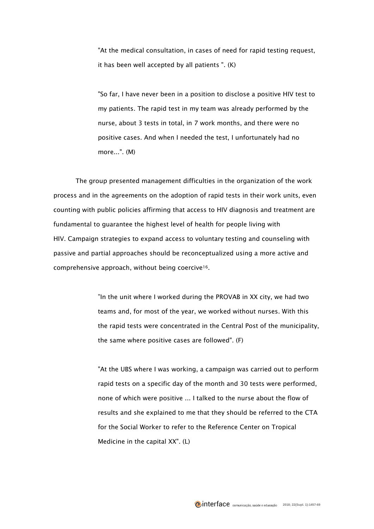"At the medical consultation, in cases of need for rapid testing request, it has been well accepted by all patients ". (K)

"So far, I have never been in a position to disclose a positive HIV test to my patients. The rapid test in my team was already performed by the nurse, about 3 tests in total, in 7 work months, and there were no positive cases. And when I needed the test, I unfortunately had no more...". (M)

The group presented management difficulties in the organization of the work process and in the agreements on the adoption of rapid tests in their work units, even counting with public policies affirming that access to HIV diagnosis and treatment are fundamental to guarantee the highest level of health for people living with HIV. Campaign strategies to expand access to voluntary testing and counseling with passive and partial approaches should be reconceptualized using a more active and comprehensive approach, without being coercive16.

> "In the unit where I worked during the PROVAB in XX city, we had two teams and, for most of the year, we worked without nurses. With this the rapid tests were concentrated in the Central Post of the municipality, the same where positive cases are followed". (F)

> "At the UBS where I was working, a campaign was carried out to perform rapid tests on a specific day of the month and 30 tests were performed, none of which were positive ... I talked to the nurse about the flow of results and she explained to me that they should be referred to the CTA for the Social Worker to refer to the Reference Center on Tropical Medicine in the capital XX". (L)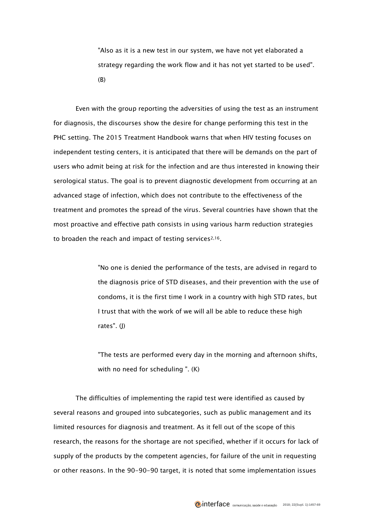"Also as it is a new test in our system, we have not yet elaborated a strategy regarding the work flow and it has not yet started to be used". (B)

Even with the group reporting the adversities of using the test as an instrument for diagnosis, the discourses show the desire for change performing this test in the PHC setting. The 2015 Treatment Handbook warns that when HIV testing focuses on independent testing centers, it is anticipated that there will be demands on the part of users who admit being at risk for the infection and are thus interested in knowing their serological status. The goal is to prevent diagnostic development from occurring at an advanced stage of infection, which does not contribute to the effectiveness of the treatment and promotes the spread of the virus. Several countries have shown that the most proactive and effective path consists in using various harm reduction strategies to broaden the reach and impact of testing services<sup>2,16</sup>.

> "No one is denied the performance of the tests, are advised in regard to the diagnosis price of STD diseases, and their prevention with the use of condoms, it is the first time I work in a country with high STD rates, but I trust that with the work of we will all be able to reduce these high rates". (J)

> "The tests are performed every day in the morning and afternoon shifts, with no need for scheduling ". (K)

The difficulties of implementing the rapid test were identified as caused by several reasons and grouped into subcategories, such as public management and its limited resources for diagnosis and treatment. As it fell out of the scope of this research, the reasons for the shortage are not specified, whether if it occurs for lack of supply of the products by the competent agencies, for failure of the unit in requesting or other reasons. In the 90-90-90 target, it is noted that some implementation issues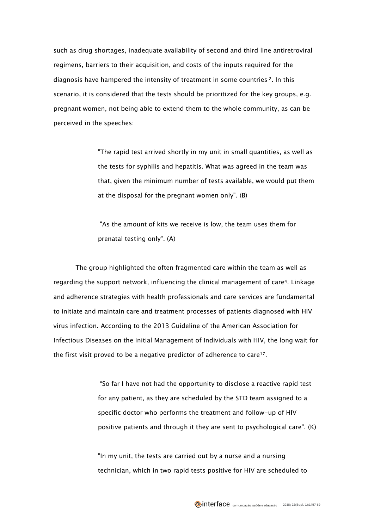such as drug shortages, inadequate availability of second and third line antiretroviral regimens, barriers to their acquisition, and costs of the inputs required for the diagnosis have hampered the intensity of treatment in some countries <sup>2</sup>. In this scenario, it is considered that the tests should be prioritized for the key groups, e.g. pregnant women, not being able to extend them to the whole community, as can be perceived in the speeches:

> "The rapid test arrived shortly in my unit in small quantities, as well as the tests for syphilis and hepatitis. What was agreed in the team was that, given the minimum number of tests available, we would put them at the disposal for the pregnant women only". (B)

"As the amount of kits we receive is low, the team uses them for prenatal testing only". (A)

The group highlighted the often fragmented care within the team as well as regarding the support network, influencing the clinical management of care4. Linkage and adherence strategies with health professionals and care services are fundamental to initiate and maintain care and treatment processes of patients diagnosed with HIV virus infection. According to the 2013 Guideline of the American Association for Infectious Diseases on the Initial Management of Individuals with HIV, the long wait for the first visit proved to be a negative predictor of adherence to care<sup>17</sup>.

> "So far I have not had the opportunity to disclose a reactive rapid test for any patient, as they are scheduled by the STD team assigned to a specific doctor who performs the treatment and follow-up of HIV positive patients and through it they are sent to psychological care". (K)

"In my unit, the tests are carried out by a nurse and a nursing technician, which in two rapid tests positive for HIV are scheduled to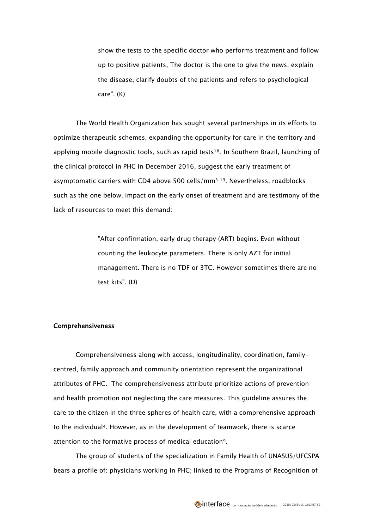show the tests to the specific doctor who performs treatment and follow up to positive patients, The doctor is the one to give the news, explain the disease, clarify doubts of the patients and refers to psychological care". (K)

The World Health Organization has sought several partnerships in its efforts to optimize therapeutic schemes, expanding the opportunity for care in the territory and applying mobile diagnostic tools, such as rapid tests<sup>18</sup>. In Southern Brazil, launching of the clinical protocol in PHC in December 2016, suggest the early treatment of asymptomatic carriers with CD4 above 500 cells/ $mm<sup>3</sup>$ <sup>19</sup>. Nevertheless, roadblocks such as the one below, impact on the early onset of treatment and are testimony of the lack of resources to meet this demand:

> "After confirmation, early drug therapy (ART) begins. Even without counting the leukocyte parameters. There is only AZT for initial management. There is no TDF or 3TC. However sometimes there are no test kits". (D)

# Comprehensiveness

Comprehensiveness along with access, longitudinality, coordination, familycentred, family approach and community orientation represent the organizational attributes of PHC. The comprehensiveness attribute prioritize actions of prevention and health promotion not neglecting the care measures. This guideline assures the care to the citizen in the three spheres of health care, with a comprehensive approach to the individual4. However, as in the development of teamwork, there is scarce attention to the formative process of medical education9.

The group of students of the specialization in Family Health of UNASUS/UFCSPA bears a profile of: physicians working in PHC; linked to the Programs of Recognition of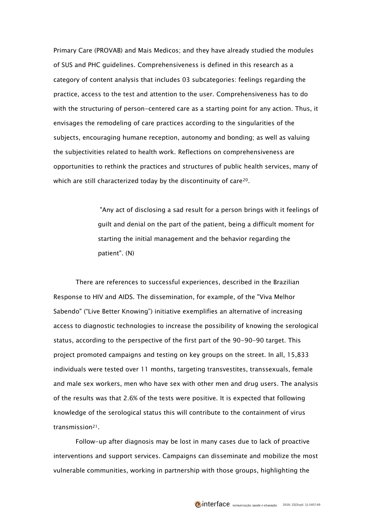Primary Care (PROVAB) and Mais Medicos; and they have already studied the modules of SUS and PHC guidelines. Comprehensiveness is defined in this research as a category of content analysis that includes 03 subcategories: feelings regarding the practice, access to the test and attention to the user. Comprehensiveness has to do with the structuring of person-centered care as a starting point for any action. Thus, it envisages the remodeling of care practices according to the singularities of the subjects, encouraging humane reception, autonomy and bonding; as well as valuing the subjectivities related to health work. Reflections on comprehensiveness are opportunities to rethink the practices and structures of public health services, many of which are still characterized today by the discontinuity of care<sup>20</sup>.

> "Any act of disclosing a sad result for a person brings with it feelings of guilt and denial on the part of the patient, being a difficult moment for starting the initial management and the behavior regarding the patient". (N)

There are references to successful experiences, described in the Brazilian Response to HIV and AIDS. The dissemination, for example, of the "Viva Melhor Sabendo" ("Live Better Knowing") initiative exemplifies an alternative of increasing access to diagnostic technologies to increase the possibility of knowing the serological status, according to the perspective of the first part of the 90-90-90 target. This project promoted campaigns and testing on key groups on the street. In all, 15,833 individuals were tested over 11 months, targeting transvestites, transsexuals, female and male sex workers, men who have sex with other men and drug users. The analysis of the results was that 2.6% of the tests were positive. It is expected that following knowledge of the serological status this will contribute to the containment of virus transmission<sup>21</sup>.

Follow-up after diagnosis may be lost in many cases due to lack of proactive interventions and support services. Campaigns can disseminate and mobilize the most vulnerable communities, working in partnership with those groups, highlighting the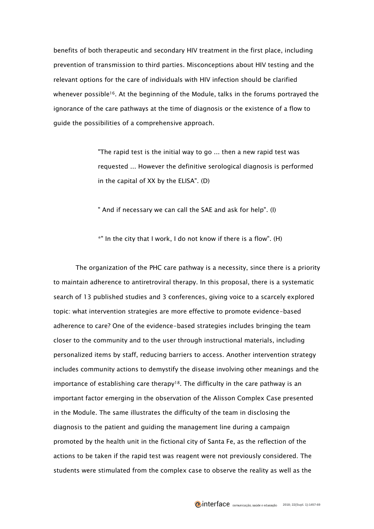benefits of both therapeutic and secondary HIV treatment in the first place, including prevention of transmission to third parties. Misconceptions about HIV testing and the relevant options for the care of individuals with HIV infection should be clarified whenever possible16. At the beginning of the Module, talks in the forums portrayed the ignorance of the care pathways at the time of diagnosis or the existence of a flow to guide the possibilities of a comprehensive approach.

> "The rapid test is the initial way to go ... then a new rapid test was requested ... However the definitive serological diagnosis is performed in the capital of XX by the ELISA". (D)

" And if necessary we can call the SAE and ask for help". (I)

\*" In the city that I work, I do not know if there is a flow". (H)

The organization of the PHC care pathway is a necessity, since there is a priority to maintain adherence to antiretroviral therapy. In this proposal, there is a systematic search of 13 published studies and 3 conferences, giving voice to a scarcely explored topic: what intervention strategies are more effective to promote evidence-based adherence to care? One of the evidence-based strategies includes bringing the team closer to the community and to the user through instructional materials, including personalized items by staff, reducing barriers to access. Another intervention strategy includes community actions to demystify the disease involving other meanings and the importance of establishing care therapy<sup>18</sup>. The difficulty in the care pathway is an important factor emerging in the observation of the Alisson Complex Case presented in the Module. The same illustrates the difficulty of the team in disclosing the diagnosis to the patient and guiding the management line during a campaign promoted by the health unit in the fictional city of Santa Fe, as the reflection of the actions to be taken if the rapid test was reagent were not previously considered. The students were stimulated from the complex case to observe the reality as well as the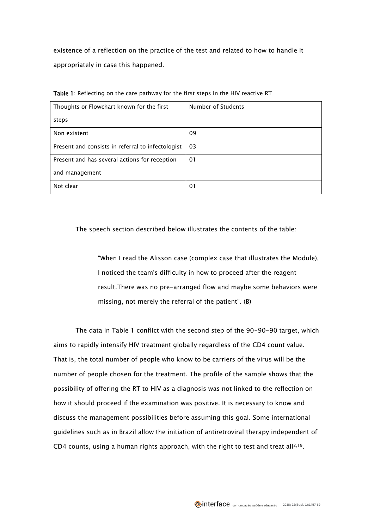existence of a reflection on the practice of the test and related to how to handle it appropriately in case this happened.

| Thoughts or Flowchart known for the first         | Number of Students |
|---------------------------------------------------|--------------------|
| steps                                             |                    |
| Non existent                                      | 09                 |
| Present and consists in referral to infectologist | 03                 |
| Present and has several actions for reception     | 01                 |
| and management                                    |                    |
| Not clear                                         | 01                 |

Table 1: Reflecting on the care pathway for the first steps in the HIV reactive RT

The speech section described below illustrates the contents of the table:

"When I read the Alisson case (complex case that illustrates the Module), I noticed the team's difficulty in how to proceed after the reagent result.There was no pre-arranged flow and maybe some behaviors were missing, not merely the referral of the patient". (B)

The data in Table 1 conflict with the second step of the 90-90-90 target, which aims to rapidly intensify HIV treatment globally regardless of the CD4 count value. That is, the total number of people who know to be carriers of the virus will be the number of people chosen for the treatment. The profile of the sample shows that the possibility of offering the RT to HIV as a diagnosis was not linked to the reflection on how it should proceed if the examination was positive. It is necessary to know and discuss the management possibilities before assuming this goal. Some international guidelines such as in Brazil allow the initiation of antiretroviral therapy independent of CD4 counts, using a human rights approach, with the right to test and treat all<sup>2,19</sup>.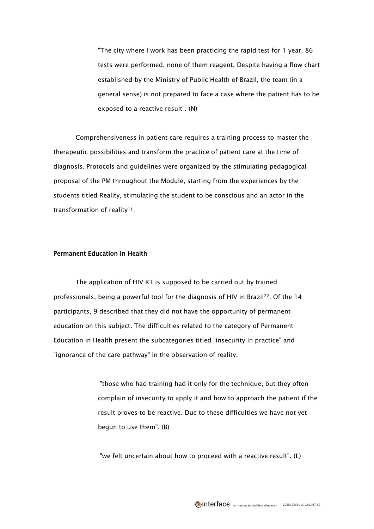"The city where I work has been practicing the rapid test for 1 year, 86 tests were performed, none of them reagent. Despite having a flow chart established by the Ministry of Public Health of Brazil, the team (in a general sense) is not prepared to face a case where the patient has to be exposed to a reactive result". (N)

Comprehensiveness in patient care requires a training process to master the therapeutic possibilities and transform the practice of patient care at the time of diagnosis. Protocols and guidelines were organized by the stimulating pedagogical proposal of the PM throughout the Module, starting from the experiences by the students titled Reality, stimulating the student to be conscious and an actor in the transformation of reality<sup>11</sup>.

## Permanent Education in Health

The application of HIV RT is supposed to be carried out by trained professionals, being a powerful tool for the diagnosis of HIV in Brazil<sup>22</sup>. Of the 14 participants, 9 described that they did not have the opportunity of permanent education on this subject. The difficulties related to the category of Permanent Education in Health present the subcategories titled "insecurity in practice" and "ignorance of the care pathway" in the observation of reality.

> "those who had training had it only for the technique, but they often complain of insecurity to apply it and how to approach the patient if the result proves to be reactive. Due to these difficulties we have not yet begun to use them". (B)

"we felt uncertain about how to proceed with a reactive result". (L)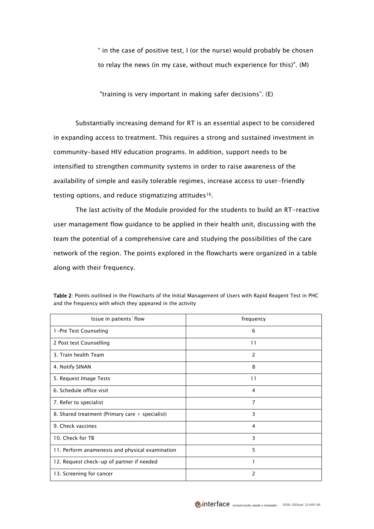" in the case of positive test, I (or the nurse) would probably be chosen to relay the news (in my case, without much experience for this)". (M)

"training is very important in making safer decisions". (E)

Substantially increasing demand for RT is an essential aspect to be considered in expanding access to treatment. This requires a strong and sustained investment in community-based HIV education programs. In addition, support needs to be intensified to strengthen community systems in order to raise awareness of the availability of simple and easily tolerable regimes, increase access to user-friendly testing options, and reduce stigmatizing attitudes<sup>16</sup>.

The last activity of the Module provided for the students to build an RT-reactive user management flow guidance to be applied in their health unit, discussing with the team the potential of a comprehensive care and studying the possibilities of the care network of the region. The points explored in the flowcharts were organized in a table along with their frequency.

| Issue in patients flow                            | frequency      |
|---------------------------------------------------|----------------|
| 1-Pre Test Counseling                             | 6              |
| 2 Post test Counselling                           | 11             |
| 3. Train health Team                              | $\overline{2}$ |
| 4. Notify SINAN                                   | 8              |
| 5. Request Image Tests                            | 11             |
| 6. Schedule office visit                          | 4              |
| 7. Refer to specialist                            | $\overline{7}$ |
| 8. Shared treatment (Primary care $+$ specialist) | 3              |
| 9. Check vaccines                                 | 4              |
| 10. Check for TB                                  | 3              |
| 11. Perform anamenesis and physical examination   | 5              |
| 12. Request check-up of partner if needed         |                |
| 13. Screening for cancer                          | 2              |

Table 2: Points outlined in the Flowcharts of the Initial Management of Users with Rapid Reagent Test in PHC and the frequency with which they appeared in the activity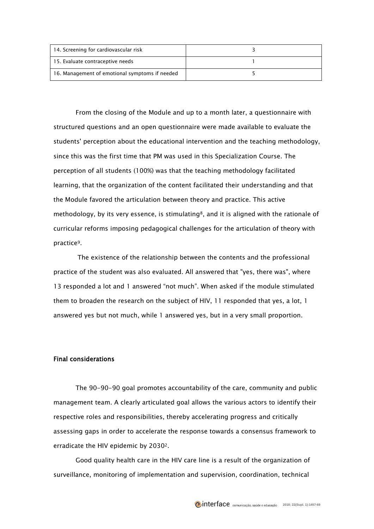| 14. Screening for cardiovascular risk          |  |
|------------------------------------------------|--|
| 15. Evaluate contraceptive needs               |  |
| 16. Management of emotional symptoms if needed |  |

From the closing of the Module and up to a month later, a questionnaire with structured questions and an open questionnaire were made available to evaluate the students' perception about the educational intervention and the teaching methodology, since this was the first time that PM was used in this Specialization Course. The perception of all students (100%) was that the teaching methodology facilitated learning, that the organization of the content facilitated their understanding and that the Module favored the articulation between theory and practice. This active methodology, by its very essence, is stimulating<sup>8</sup>, and it is aligned with the rationale of curricular reforms imposing pedagogical challenges for the articulation of theory with practice9.

The existence of the relationship between the contents and the professional practice of the student was also evaluated. All answered that "yes, there was", where 13 responded a lot and 1 answered "not much". When asked if the module stimulated them to broaden the research on the subject of HIV, 11 responded that yes, a lot, 1 answered yes but not much, while 1 answered yes, but in a very small proportion.

# Final considerations

The 90-90-90 goal promotes accountability of the care, community and public management team. A clearly articulated goal allows the various actors to identify their respective roles and responsibilities, thereby accelerating progress and critically assessing gaps in order to accelerate the response towards a consensus framework to erradicate the HIV epidemic by 20302.

Good quality health care in the HIV care line is a result of the organization of surveillance, monitoring of implementation and supervision, coordination, technical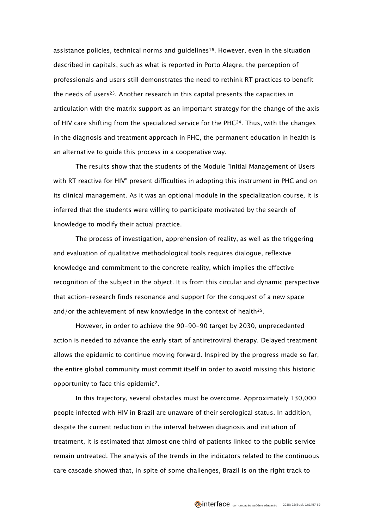assistance policies, technical norms and guidelines<sup>16</sup>. However, even in the situation described in capitals, such as what is reported in Porto Alegre, the perception of professionals and users still demonstrates the need to rethink RT practices to benefit the needs of users<sup>23</sup>. Another research in this capital presents the capacities in articulation with the matrix support as an important strategy for the change of the axis of HIV care shifting from the specialized service for the PHC24. Thus, with the changes in the diagnosis and treatment approach in PHC, the permanent education in health is an alternative to guide this process in a cooperative way.

The results show that the students of the Module "Initial Management of Users with RT reactive for HIV" present difficulties in adopting this instrument in PHC and on its clinical management. As it was an optional module in the specialization course, it is inferred that the students were willing to participate motivated by the search of knowledge to modify their actual practice.

The process of investigation, apprehension of reality, as well as the triggering and evaluation of qualitative methodological tools requires dialogue, reflexive knowledge and commitment to the concrete reality, which implies the effective recognition of the subject in the object. It is from this circular and dynamic perspective that action-research finds resonance and support for the conquest of a new space and/or the achievement of new knowledge in the context of health<sup>25</sup>.

However, in order to achieve the 90-90-90 target by 2030, unprecedented action is needed to advance the early start of antiretroviral therapy. Delayed treatment allows the epidemic to continue moving forward. Inspired by the progress made so far, the entire global community must commit itself in order to avoid missing this historic opportunity to face this epidemic2.

In this trajectory, several obstacles must be overcome. Approximately 130,000 people infected with HIV in Brazil are unaware of their serological status. In addition, despite the current reduction in the interval between diagnosis and initiation of treatment, it is estimated that almost one third of patients linked to the public service remain untreated. The analysis of the trends in the indicators related to the continuous care cascade showed that, in spite of some challenges, Brazil is on the right track to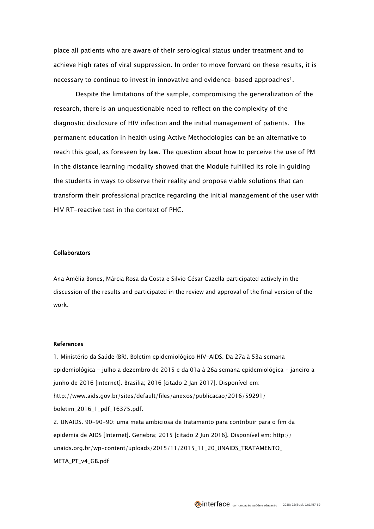place all patients who are aware of their serological status under treatment and to achieve high rates of viral suppression. In order to move forward on these results, it is necessary to continue to invest in innovative and evidence-based approaches<sup>1</sup>.

Despite the limitations of the sample, compromising the generalization of the research, there is an unquestionable need to reflect on the complexity of the diagnostic disclosure of HIV infection and the initial management of patients. The permanent education in health using Active Methodologies can be an alternative to reach this goal, as foreseen by law. The question about how to perceive the use of PM in the distance learning modality showed that the Module fulfilled its role in guiding the students in ways to observe their reality and propose viable solutions that can transform their professional practice regarding the initial management of the user with HIV RT-reactive test in the context of PHC.

### Collaborators

Ana Amélia Bones, Márcia Rosa da Costa e Silvio César Cazella participated actively in the discussion of the results and participated in the review and approval of the final version of the work.

#### **References**

1. Ministério da Saúde (BR). Boletim epidemiológico HIV-AIDS. Da 27a à 53a semana epidemiológica - julho a dezembro de 2015 e da 01a à 26a semana epidemiológica - janeiro a junho de 2016 [Internet]. Brasília; 2016 [citado 2 Jan 2017]. Disponível em: http://www.aids.gov.br/sites/default/files/anexos/publicacao/2016/59291/ boletim\_2016\_1\_pdf\_16375.pdf. 2. UNAIDS. 90-90-90: uma meta ambiciosa de tratamento para contribuir para o fim da epidemia de AIDS [Internet]. Genebra; 2015 [citado 2 Jun 2016]. Disponível em: http://

unaids.org.br/wp-content/uploads/2015/11/2015\_11\_20\_UNAIDS\_TRATAMENTO\_ META\_PT\_v4\_GB.pdf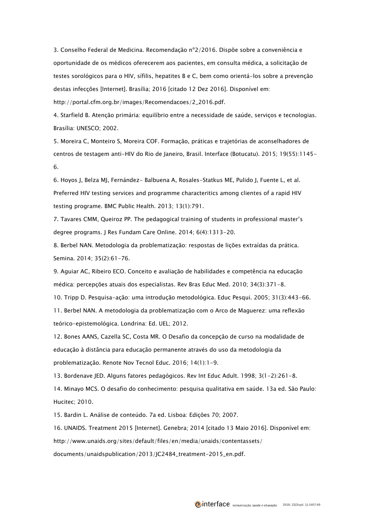3. Conselho Federal de Medicina. Recomendação nº2/2016. Dispõe sobre a conveniência e oportunidade de os médicos oferecerem aos pacientes, em consulta médica, a solicitação de testes sorológicos para o HIV, sífilis, hepatites B e C, bem como orientá-los sobre a prevenção destas infecções [Internet]. Brasília; 2016 [citado 12 Dez 2016]. Disponível em: [http://portal.cfm.org.br/images/Recomendacoes/2\\_2016.pdf.](http://portal.cfm.org.br/images/Recomendacoes/2_2016.pdf)

4. Starfield B. Atenção primária: equilíbrio entre a necessidade de saúde, serviços e tecnologias. Brasília: UNESCO; 2002.

5. Moreira C, Monteiro S, Moreira COF. Formação, práticas e trajetórias de aconselhadores de centros de testagem anti-HIV do Rio de Janeiro, Brasil. Interface (Botucatu). 2015; 19(55):1145- 6.

6. Hoyos J, Belza MJ, Fernández- Balbuena A, Rosales-Statkus ME, Pulido J, Fuente L, et al. Preferred HIV testing services and programme characteritics among clientes of a rapid HIV testing programe. BMC Public Health. 2013; 13(1):791.

7. Tavares CMM, Queiroz PP. The pedagogical training of students in professional master's degree programs. J Res Fundam Care Online. 2014; 6(4):1313-20.

8. Berbel NAN. Metodologia da problematização: respostas de lições extraídas da prática. Semina. 2014; 35(2):61-76.

9. Aguiar AC, Ribeiro ECO. Conceito e avaliação de habilidades e competência na educação médica: percepções atuais dos especialistas. Rev Bras Educ Med. 2010; 34(3):371-8.

10. Tripp D. Pesquisa-ação: uma introdução metodológica. Educ Pesqui. 2005; 31(3):443-66.

11. Berbel NAN. A metodologia da problematização com o Arco de Maguerez: uma reflexão teórico-epistemológica. Londrina: Ed. UEL; 2012.

12. Bones AANS, Cazella SC, Costa MR. O Desafio da concepção de curso na modalidade de educação à distância para educação permanente através do uso da metodologia da problematização. Renote Nov Tecnol Educ. 2016; 14(1):1-9.

13. Bordenave JED. Alguns fatores pedagógicos. Rev Int Educ Adult. 1998; 3(1-2):261-8.

14. Minayo MCS. O desafio do conhecimento: pesquisa qualitativa em saúde. 13a ed. São Paulo: Hucitec; 2010.

15. Bardin L. Análise de conteúdo. 7a ed. Lisboa: Edições 70; 2007.

16. UNAIDS. Treatment 2015 [Internet]. Genebra; 2014 [citado 13 Maio 2016]. Disponível em:

http://www.unaids.org/sites/default/files/en/media/unaids/contentassets/

documents/unaidspublication/2013/JC2484\_treatment-2015\_en.pdf.